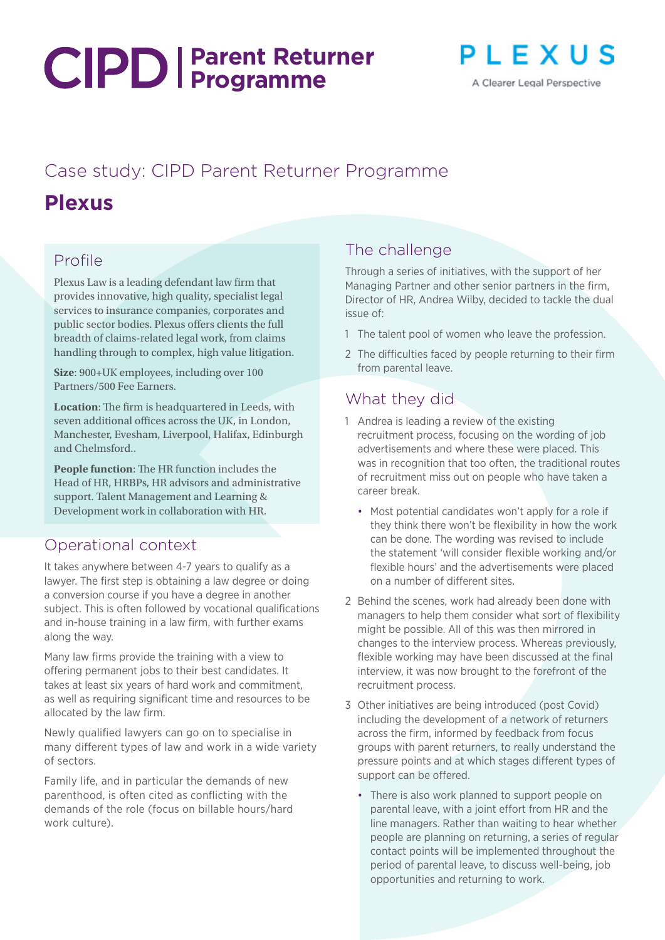# **Parent Returner Programme**



## Case study: CIPD Parent Returner Programme

# **Plexus**

### Profile

Plexus Law is a leading defendant law firm that provides innovative, high quality, specialist legal services to insurance companies, corporates and public sector bodies. Plexus offers clients the full breadth of claims-related legal work, from claims handling through to complex, high value litigation.

**Size**: 900+UK employees, including over 100 Partners/500 Fee Earners.

**Location**: The firm is headquartered in Leeds, with seven additional offices across the UK, in London, Manchester, Evesham, Liverpool, Halifax, Edinburgh and Chelmsford..

**People function**: The HR function includes the Head of HR, HRBPs, HR advisors and administrative support. Talent Management and Learning & Development work in collaboration with HR.

#### Operational context

It takes anywhere between 4-7 years to qualify as a lawyer. The first step is obtaining a law degree or doing a conversion course if you have a degree in another subject. This is often followed by vocational qualifications and in-house training in a law firm, with further exams along the way.

Many law firms provide the training with a view to offering permanent jobs to their best candidates. It takes at least six years of hard work and commitment, as well as requiring significant time and resources to be allocated by the law firm.

Newly qualified lawyers can go on to specialise in many different types of law and work in a wide variety of sectors.

Family life, and in particular the demands of new parenthood, is often cited as conflicting with the demands of the role (focus on billable hours/hard work culture).

#### The challenge

Through a series of initiatives, with the support of her Managing Partner and other senior partners in the firm, Director of HR, Andrea Wilby, decided to tackle the dual issue of:

- 1 The talent pool of women who leave the profession.
- 2 The difficulties faced by people returning to their firm from parental leave.

#### What they did

- 1 Andrea is leading a review of the existing recruitment process, focusing on the wording of job advertisements and where these were placed. This was in recognition that too often, the traditional routes of recruitment miss out on people who have taken a career break.
	- Most potential candidates won't apply for a role if they think there won't be flexibility in how the work can be done. The wording was revised to include the statement 'will consider flexible working and/or flexible hours' and the advertisements were placed on a number of different sites.
- 2 Behind the scenes, work had already been done with managers to help them consider what sort of flexibility might be possible. All of this was then mirrored in changes to the interview process. Whereas previously, flexible working may have been discussed at the final interview, it was now brought to the forefront of the recruitment process.
- 3 Other initiatives are being introduced (post Covid) including the development of a network of returners across the firm, informed by feedback from focus groups with parent returners, to really understand the pressure points and at which stages different types of support can be offered.
	- There is also work planned to support people on parental leave, with a joint effort from HR and the line managers. Rather than waiting to hear whether people are planning on returning, a series of regular contact points will be implemented throughout the period of parental leave, to discuss well-being, job opportunities and returning to work.